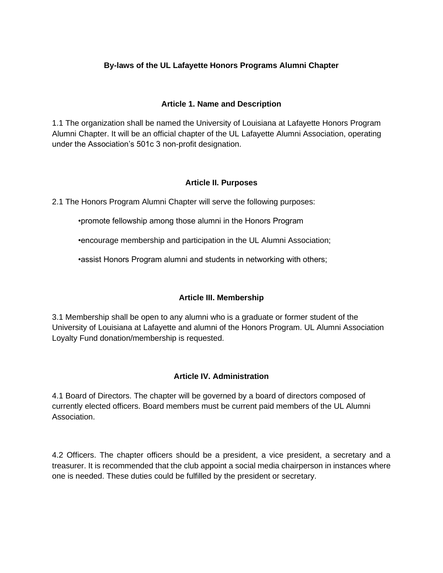# **By-laws of the UL Lafayette Honors Programs Alumni Chapter**

## **Article 1. Name and Description**

1.1 The organization shall be named the University of Louisiana at Lafayette Honors Program Alumni Chapter. It will be an official chapter of the UL Lafayette Alumni Association, operating under the Association's 501c 3 non-profit designation.

### **Article II. Purposes**

2.1 The Honors Program Alumni Chapter will serve the following purposes:

•promote fellowship among those alumni in the Honors Program

•encourage membership and participation in the UL Alumni Association;

•assist Honors Program alumni and students in networking with others;

## **Article III. Membership**

3.1 Membership shall be open to any alumni who is a graduate or former student of the University of Louisiana at Lafayette and alumni of the Honors Program. UL Alumni Association Loyalty Fund donation/membership is requested.

## **Article IV. Administration**

4.1 Board of Directors. The chapter will be governed by a board of directors composed of currently elected officers. Board members must be current paid members of the UL Alumni Association.

4.2 Officers. The chapter officers should be a president, a vice president, a secretary and a treasurer. It is recommended that the club appoint a social media chairperson in instances where one is needed. These duties could be fulfilled by the president or secretary.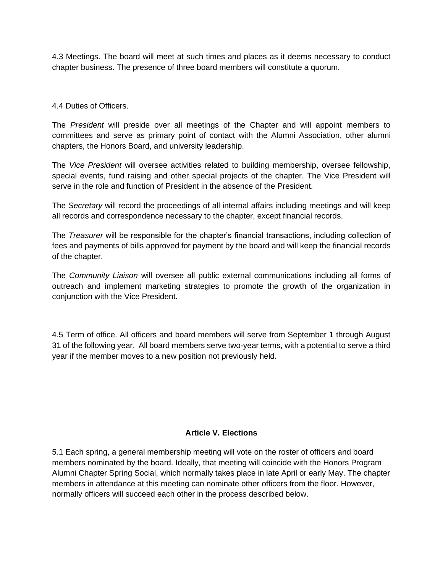4.3 Meetings. The board will meet at such times and places as it deems necessary to conduct chapter business. The presence of three board members will constitute a quorum.

### 4.4 Duties of Officers.

The *President* will preside over all meetings of the Chapter and will appoint members to committees and serve as primary point of contact with the Alumni Association, other alumni chapters, the Honors Board, and university leadership.

The *Vice President* will oversee activities related to building membership, oversee fellowship, special events, fund raising and other special projects of the chapter. The Vice President will serve in the role and function of President in the absence of the President.

The *Secretary* will record the proceedings of all internal affairs including meetings and will keep all records and correspondence necessary to the chapter, except financial records.

The *Treasurer* will be responsible for the chapter's financial transactions, including collection of fees and payments of bills approved for payment by the board and will keep the financial records of the chapter.

The *Community Liaison* will oversee all public external communications including all forms of outreach and implement marketing strategies to promote the growth of the organization in conjunction with the Vice President.

4.5 Term of office. All officers and board members will serve from September 1 through August 31 of the following year. All board members serve two-year terms, with a potential to serve a third year if the member moves to a new position not previously held.

#### **Article V. Elections**

5.1 Each spring, a general membership meeting will vote on the roster of officers and board members nominated by the board. Ideally, that meeting will coincide with the Honors Program Alumni Chapter Spring Social, which normally takes place in late April or early May. The chapter members in attendance at this meeting can nominate other officers from the floor. However, normally officers will succeed each other in the process described below.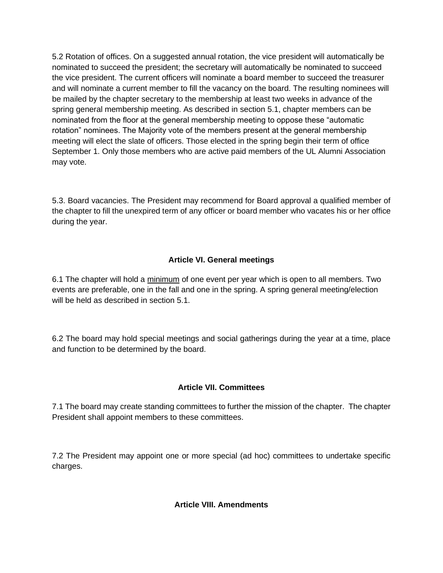5.2 Rotation of offices. On a suggested annual rotation, the vice president will automatically be nominated to succeed the president; the secretary will automatically be nominated to succeed the vice president. The current officers will nominate a board member to succeed the treasurer and will nominate a current member to fill the vacancy on the board. The resulting nominees will be mailed by the chapter secretary to the membership at least two weeks in advance of the spring general membership meeting. As described in section 5.1, chapter members can be nominated from the floor at the general membership meeting to oppose these "automatic rotation" nominees. The Majority vote of the members present at the general membership meeting will elect the slate of officers. Those elected in the spring begin their term of office September 1. Only those members who are active paid members of the UL Alumni Association may vote.

5.3. Board vacancies. The President may recommend for Board approval a qualified member of the chapter to fill the unexpired term of any officer or board member who vacates his or her office during the year.

# **Article VI. General meetings**

6.1 The chapter will hold a minimum of one event per year which is open to all members. Two events are preferable, one in the fall and one in the spring. A spring general meeting/election will be held as described in section 5.1.

6.2 The board may hold special meetings and social gatherings during the year at a time, place and function to be determined by the board.

## **Article VII. Committees**

7.1 The board may create standing committees to further the mission of the chapter. The chapter President shall appoint members to these committees.

7.2 The President may appoint one or more special (ad hoc) committees to undertake specific charges.

## **Article VIII. Amendments**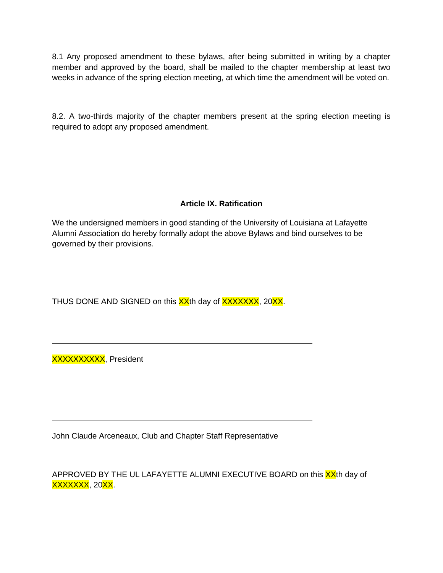8.1 Any proposed amendment to these bylaws, after being submitted in writing by a chapter member and approved by the board, shall be mailed to the chapter membership at least two weeks in advance of the spring election meeting, at which time the amendment will be voted on.

8.2. A two-thirds majority of the chapter members present at the spring election meeting is required to adopt any proposed amendment.

# **Article IX. Ratification**

We the undersigned members in good standing of the University of Louisiana at Lafayette Alumni Association do hereby formally adopt the above Bylaws and bind ourselves to be governed by their provisions.

THUS DONE AND SIGNED on this XX<sup>th</sup> day of XXXXXXX, 20XX.

XXXXXXXXXX, President

 $\overline{a}$ 

 $\overline{a}$ 

John Claude Arceneaux, Club and Chapter Staff Representative

APPROVED BY THE UL LAFAYETTE ALUMNI EXECUTIVE BOARD on this XX<sup>th</sup> day of XXXXXXX, 20<mark>XX</mark>.